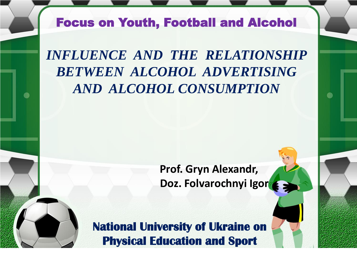## Focus on Youth, Football and Alcohol

*INFLUENCE AND THE RELATIONSHIP BETWEEN ALCOHOL ADVERTISING AND ALCOHOL CONSUMPTION* 

> **Prof. Gryn Alexandr,** Doz. Folvarochnyi Igor

**National University of Ukraine on Physical Education and Sport**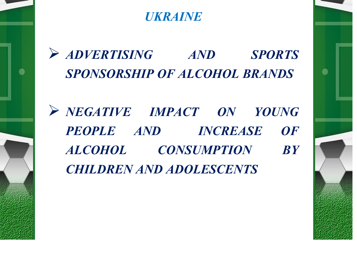*UKRAINE*

➢ *ADVERTISING AND SPORTS SPONSORSHIP OF ALCOHOL BRANDS*

 $\bullet$ 

●

➢ *NEGATIVE IMPACT ON YOUNG PEOPLE AND INCREASE OF ALCOHOL CONSUMPTION BY CHILDREN AND ADOLESCENTS*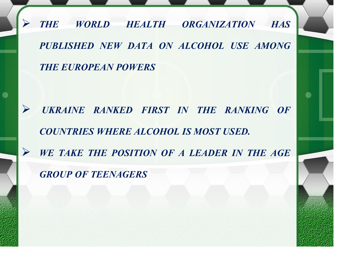➢ *THE WORLD HEALTH ORGANIZATION HAS PUBLISHED NEW DATA ON ALCOHOL USE AMONG THE EUROPEAN POWERS*

➢ *UKRAINE RANKED FIRST IN THE RANKING OF COUNTRIES WHERE ALCOHOL IS MOST USED.* ➢ *WE TAKE THE POSITION OF A LEADER IN THE AGE GROUP OF TEENAGERS*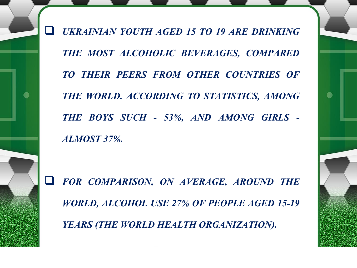❑ *UKRAINIAN YOUTH AGED 15 TO 19 ARE DRINKING THE MOST ALCOHOLIC BEVERAGES, COMPARED TO THEIR PEERS FROM OTHER COUNTRIES OF THE WORLD. ACCORDING TO STATISTICS, AMONG THE BOYS SUCH - 53%, AND AMONG GIRLS - ALMOST 37%.*

❑ *FOR COMPARISON, ON AVERAGE, AROUND THE WORLD, ALCOHOL USE 27% OF PEOPLE AGED 15-19 YEARS (THE WORLD HEALTH ORGANIZATION).*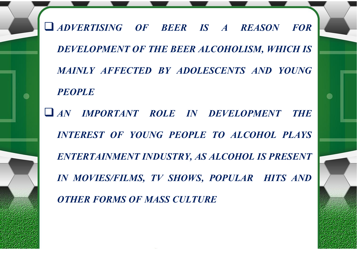❑ *ADVERTISING OF BEER IS A REASON FOR DEVELOPMENT OF THE BEER ALCOHOLISM, WHICH IS MAINLY AFFECTED BY ADOLESCENTS AND YOUNG PEOPLE*

 $\bullet$ 

❑ *AN IMPORTANT ROLE IN DEVELOPMENT THE INTEREST OF YOUNG PEOPLE TO ALCOHOL PLAYS ENTERTAINMENT INDUSTRY, AS ALCOHOL IS PRESENT IN MOVIES/FILMS, TV SHOWS, POPULAR HITS AND OTHER FORMS OF MASS CULTURE*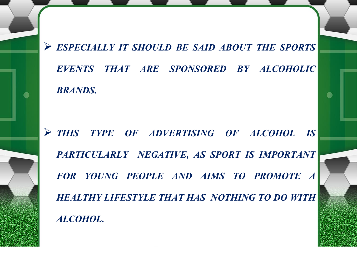➢ *ESPECIALLY IT SHOULD BE SAID ABOUT THE SPORTS EVENTS THAT ARE SPONSORED BY ALCOHOLIC BRANDS.*

 $\bullet$ 

➢ *THIS TYPE OF ADVERTISING OF ALCOHOL IS PARTICULARLY NEGATIVE, AS SPORT IS IMPORTANT FOR YOUNG PEOPLE AND AIMS TO PROMOTE A HEALTHY LIFESTYLE THAT HAS NOTHING TO DO WITH ALCOHOL.*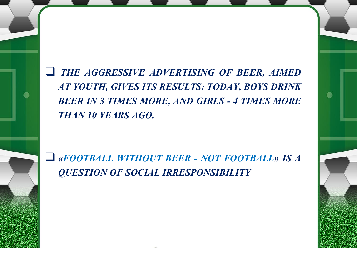❑ *THE AGGRESSIVE ADVERTISING OF BEER, AIMED AT YOUTH, GIVES ITS RESULTS: TODAY, BOYS DRINK BEER IN 3 TIMES MORE, AND GIRLS - 4 TIMES MORE THAN 10 YEARS AGO.*

❑ *«FOOTBALL WITHOUT BEER - NOT FOOTBALL» IS A QUESTION OF SOCIAL IRRESPONSIBILITY*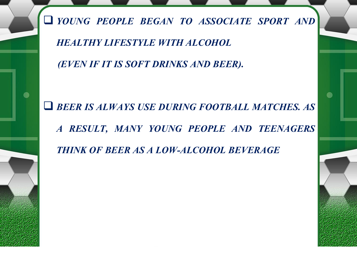❑ *YOUNG PEOPLE BEGAN TO ASSOCIATE SPORT AND*

*HEALTHY LIFESTYLE WITH ALCOHOL*

 $\bullet$ 

*(EVEN IF IT IS SOFT DRINKS AND BEER).*

❑ *BEER IS ALWAYS USE DURING FOOTBALL MATCHES. AS A RESULT, MANY YOUNG PEOPLE AND TEENAGERS THINK OF BEER AS A LOW-ALCOHOL BEVERAGE*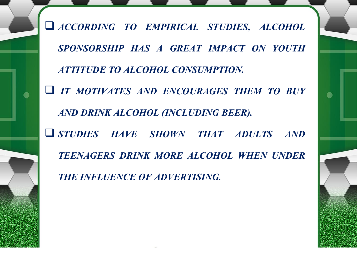❑ *ACCORDING TO EMPIRICAL STUDIES, ALCOHOL SPONSORSHIP HAS A GREAT IMPACT ON YOUTH ATTITUDE TO ALCOHOL CONSUMPTION.* ❑ *IT MOTIVATES AND ENCOURAGES THEM TO BUY AND DRINK ALCOHOL (INCLUDING BEER).* ❑ *STUDIES HAVE SHOWN THAT ADULTS AND TEENAGERS DRINK MORE ALCOHOL WHEN UNDER THE INFLUENCE OF ADVERTISING.*

 $\bullet$ 

 $\bullet$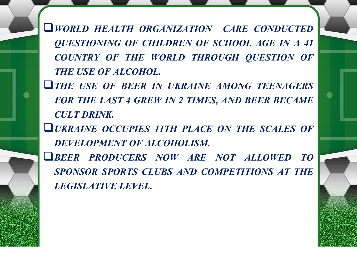❑*WORLD HEALTH ORGANIZATION CARE CONDUCTED QUESTIONING OF CHILDREN OF SCHOOL AGE IN A 41 COUNTRY OF THE WORLD THROUGH QUESTION OF THE USE OF ALCOHOL.*

❑*THE USE OF BEER IN UKRAINE AMONG TEENAGERS FOR THE LAST 4 GREW IN 2 TIMES, AND BEER BECAME CULT DRINK.*

 $\bullet$ 

 $\bullet$ 

❑*UKRAINE OCCUPIES 11TH PLACE ON THE SCALES OF DEVELOPMENT OF ALCOHOLISM.*

❑*BEER PRODUCERS NOW ARE NOT ALLOWED TO SPONSOR SPORTS CLUBS AND COMPETITIONS AT THE LEGISLATIVE LEVEL.*